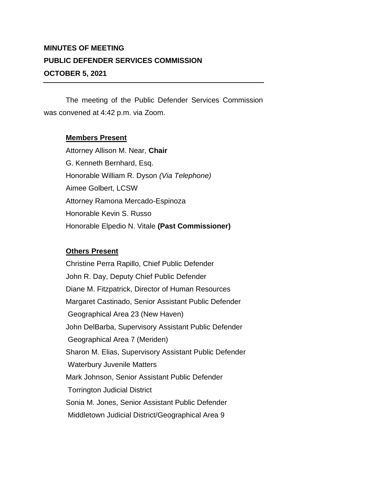## **MINUTES OF MEETING PUBLIC DEFENDER SERVICES COMMISSION OCTOBER 5, 2021**

The meeting of the Public Defender Services Commission was convened at 4:42 p.m. via Zoom.

## **Members Present**

Attorney Allison M. Near, **Chair** G. Kenneth Bernhard, Esq. Honorable William R. Dyson *(Via Telephone)* Aimee Golbert, LCSW Attorney Ramona Mercado-Espinoza Honorable Kevin S. Russo Honorable Elpedio N. Vitale **(Past Commissioner)**

## **Others Present**

Christine Perra Rapillo, Chief Public Defender John R. Day, Deputy Chief Public Defender Diane M. Fitzpatrick, Director of Human Resources Margaret Castinado, Senior Assistant Public Defender Geographical Area 23 (New Haven) John DelBarba, Supervisory Assistant Public Defender Geographical Area 7 (Meriden) Sharon M. Elias, Supervisory Assistant Public Defender Waterbury Juvenile Matters Mark Johnson, Senior Assistant Public Defender Torrington Judicial District Sonia M. Jones, Senior Assistant Public Defender Middletown Judicial District/Geographical Area 9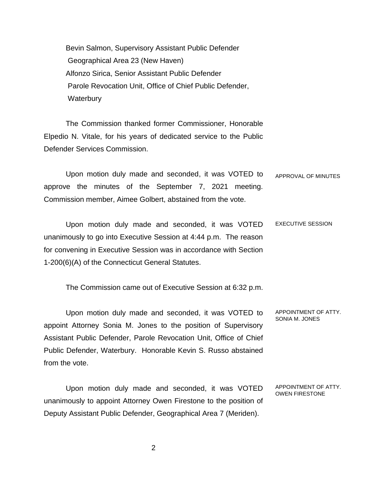Bevin Salmon, Supervisory Assistant Public Defender Geographical Area 23 (New Haven) Alfonzo Sirica, Senior Assistant Public Defender Parole Revocation Unit, Office of Chief Public Defender, **Waterbury** 

The Commission thanked former Commissioner, Honorable Elpedio N. Vitale, for his years of dedicated service to the Public Defender Services Commission.

Upon motion duly made and seconded, it was VOTED to approve the minutes of the September 7, 2021 meeting. Commission member, Aimee Golbert, abstained from the vote. APPROVAL OF MINUTES

Upon motion duly made and seconded, it was VOTED unanimously to go into Executive Session at 4:44 p.m. The reason for convening in Executive Session was in accordance with Section 1-200(6)(A) of the Connecticut General Statutes. EXECUTIVE SESSION

The Commission came out of Executive Session at 6:32 p.m.

Upon motion duly made and seconded, it was VOTED to appoint Attorney Sonia M. Jones to the position of Supervisory Assistant Public Defender, Parole Revocation Unit, Office of Chief Public Defender, Waterbury. Honorable Kevin S. Russo abstained from the vote. APPOINTMENT OF ATTY. SONIA M. JONES

Upon motion duly made and seconded, it was VOTED unanimously to appoint Attorney Owen Firestone to the position of Deputy Assistant Public Defender, Geographical Area 7 (Meriden). APPOINTMENT OF ATTY. OWEN FIRESTONE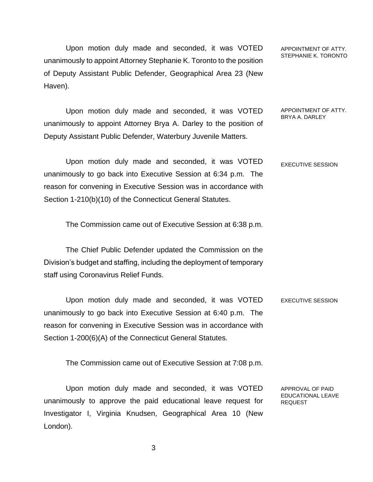Upon motion duly made and seconded, it was VOTED unanimously to appoint Attorney Stephanie K. Toronto to the position of Deputy Assistant Public Defender, Geographical Area 23 (New Haven).

unanimously to appoint Attorney Brya A. Darley to the position of

Deputy Assistant Public Defender, Waterbury Juvenile Matters.

Upon motion duly made and seconded, it was VOTED

APPOINTMENT OF ATTY. STEPHANIE K. TORONTO

## APPOINTMENT OF ATTY. BRYA A. DARLEY

Upon motion duly made and seconded, it was VOTED unanimously to go back into Executive Session at 6:34 p.m. The reason for convening in Executive Session was in accordance with Section 1-210(b)(10) of the Connecticut General Statutes. EXECUTIVE SESSION

The Commission came out of Executive Session at 6:38 p.m.

The Chief Public Defender updated the Commission on the Division's budget and staffing, including the deployment of temporary staff using Coronavirus Relief Funds.

Upon motion duly made and seconded, it was VOTED unanimously to go back into Executive Session at 6:40 p.m. The reason for convening in Executive Session was in accordance with Section 1-200(6)(A) of the Connecticut General Statutes. EXECUTIVE SESSION

The Commission came out of Executive Session at 7:08 p.m.

Upon motion duly made and seconded, it was VOTED unanimously to approve the paid educational leave request for Investigator I, Virginia Knudsen, Geographical Area 10 (New London).

APPROVAL OF PAID EDUCATIONAL LEAVE REQUEST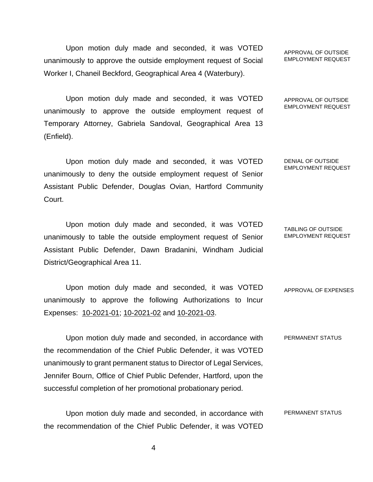Upon motion duly made and seconded, it was VOTED unanimously to approve the outside employment request of Social Worker I, Chaneil Beckford, Geographical Area 4 (Waterbury).

Upon motion duly made and seconded, it was VOTED unanimously to approve the outside employment request of Temporary Attorney, Gabriela Sandoval, Geographical Area 13 (Enfield).

Upon motion duly made and seconded, it was VOTED unanimously to deny the outside employment request of Senior Assistant Public Defender, Douglas Ovian, Hartford Community Court.

Upon motion duly made and seconded, it was VOTED unanimously to table the outside employment request of Senior Assistant Public Defender, Dawn Bradanini, Windham Judicial District/Geographical Area 11.

Upon motion duly made and seconded, it was VOTED unanimously to approve the following Authorizations to Incur Expenses: 10-2021-01; 10-2021-02 and 10-2021-03. APPROVAL OF EXPENSES

Upon motion duly made and seconded, in accordance with the recommendation of the Chief Public Defender, it was VOTED unanimously to grant permanent status to Director of Legal Services, Jennifer Bourn, Office of Chief Public Defender, Hartford, upon the successful completion of her promotional probationary period. PERMANENT STATUS

Upon motion duly made and seconded, in accordance with the recommendation of the Chief Public Defender, it was VOTED PERMANENT STATUS

APPROVAL OF OUTSIDE EMPLOYMENT REQUEST

APPROVAL OF OUTSIDE EMPLOYMENT REQUEST

DENIAL OF OUTSIDE EMPLOYMENT REQUEST

TABLING OF OUTSIDE EMPLOYMENT REQUEST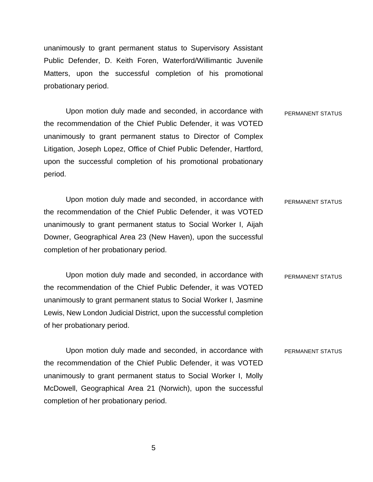unanimously to grant permanent status to Supervisory Assistant Public Defender, D. Keith Foren, Waterford/Willimantic Juvenile Matters, upon the successful completion of his promotional probationary period.

Upon motion duly made and seconded, in accordance with the recommendation of the Chief Public Defender, it was VOTED unanimously to grant permanent status to Director of Complex Litigation, Joseph Lopez, Office of Chief Public Defender, Hartford, upon the successful completion of his promotional probationary period. PERMANENT STATUS

Upon motion duly made and seconded, in accordance with the recommendation of the Chief Public Defender, it was VOTED unanimously to grant permanent status to Social Worker I, Aijah Downer, Geographical Area 23 (New Haven), upon the successful completion of her probationary period. PERMANENT STATUS

Upon motion duly made and seconded, in accordance with the recommendation of the Chief Public Defender, it was VOTED unanimously to grant permanent status to Social Worker I, Jasmine Lewis, New London Judicial District, upon the successful completion of her probationary period. PERMANENT STATUS

Upon motion duly made and seconded, in accordance with the recommendation of the Chief Public Defender, it was VOTED unanimously to grant permanent status to Social Worker I, Molly McDowell, Geographical Area 21 (Norwich), upon the successful completion of her probationary period. PERMANENT STATUS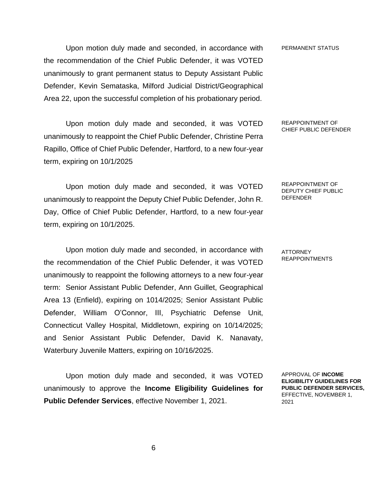Upon motion duly made and seconded, in accordance with the recommendation of the Chief Public Defender, it was VOTED unanimously to grant permanent status to Deputy Assistant Public Defender, Kevin Semataska, Milford Judicial District/Geographical Area 22, upon the successful completion of his probationary period.

Upon motion duly made and seconded, it was VOTED unanimously to reappoint the Chief Public Defender, Christine Perra Rapillo, Office of Chief Public Defender, Hartford, to a new four-year term, expiring on 10/1/2025

Upon motion duly made and seconded, it was VOTED unanimously to reappoint the Deputy Chief Public Defender, John R. Day, Office of Chief Public Defender, Hartford, to a new four-year term, expiring on 10/1/2025.

Upon motion duly made and seconded, in accordance with the recommendation of the Chief Public Defender, it was VOTED unanimously to reappoint the following attorneys to a new four-year term: Senior Assistant Public Defender, Ann Guillet, Geographical Area 13 (Enfield), expiring on 1014/2025; Senior Assistant Public Defender, William O'Connor, III, Psychiatric Defense Unit, Connecticut Valley Hospital, Middletown, expiring on 10/14/2025; and Senior Assistant Public Defender, David K. Nanavaty, Waterbury Juvenile Matters, expiring on 10/16/2025.

Upon motion duly made and seconded, it was VOTED unanimously to approve the **Income Eligibility Guidelines for Public Defender Services**, effective November 1, 2021.

PERMANENT STATUS

REAPPOINTMENT OF CHIEF PUBLIC DEFENDER

REAPPOINTMENT OF DEPUTY CHIEF PUBLIC DEFENDER

ATTORNEY REAPPOINTMENTS

APPROVAL OF **INCOME ELIGIBILITY GUIDELINES FOR PUBLIC DEFENDER SERVICES,** EFFECTIVE, NOVEMBER 1, 2021